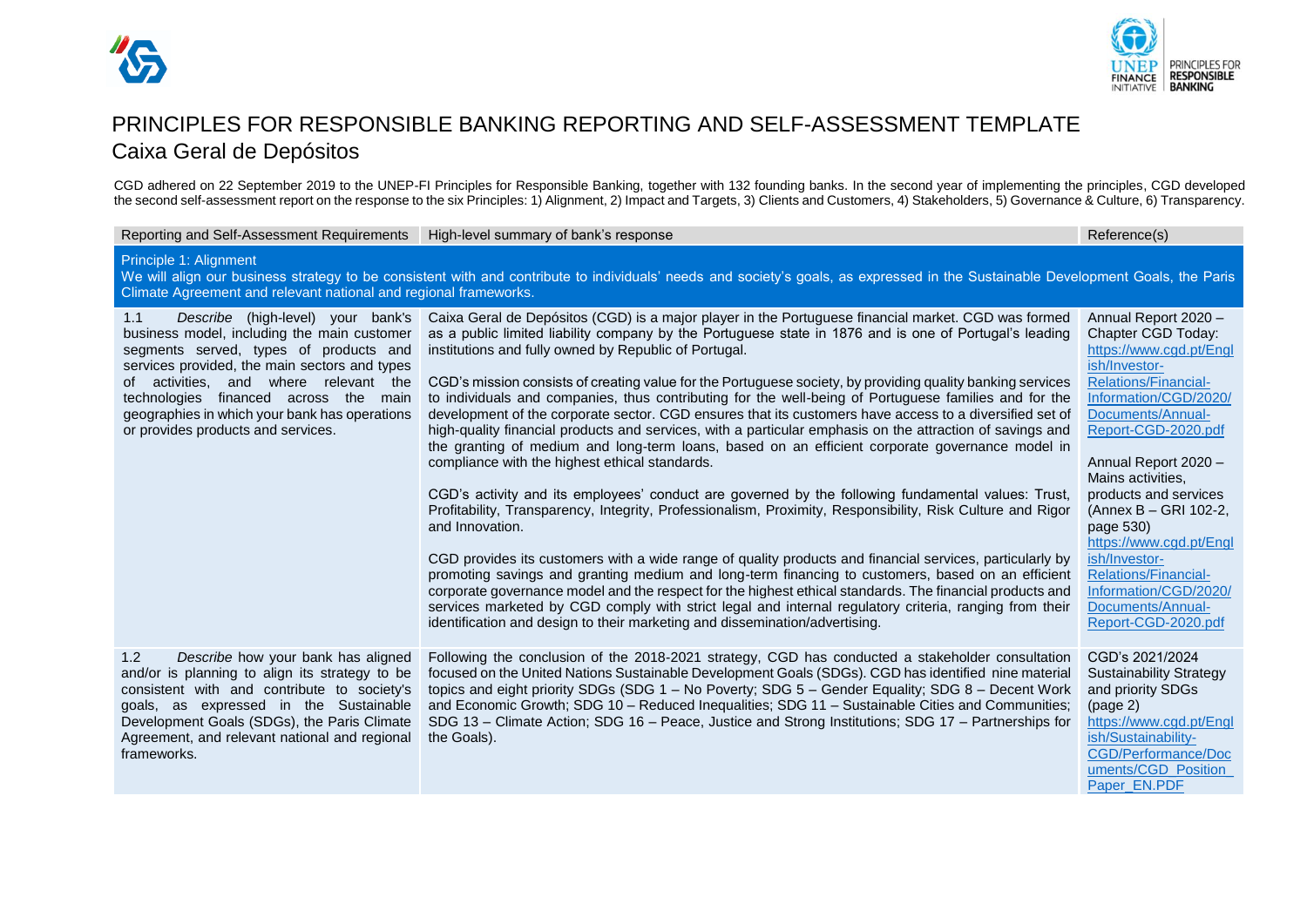



# PRINCIPLES FOR RESPONSIBLE BANKING REPORTING AND SELF-ASSESSMENT TEMPLATE Caixa Geral de Depósitos

CGD adhered on 22 September 2019 to the UNEP-FI Principles for Responsible Banking, together with 132 founding banks. In the second year of implementing the principles, CGD developed the second self-assessment report on the response to the six Principles: 1) Alignment, 2) Impact and Targets, 3) Clients and Customers, 4) Stakeholders, 5) Governance & Culture, 6) Transparency.

| Reporting and Self-Assessment Requirements                                                                                                                                                                                                                                                                                                                  | High-level summary of bank's response                                                                                                                                                                                                                                                                                                                                                                                                                                                                                                                                                                                                                                                                                                                                                                                                                                                                                                                                                                                                                                                                                                                                                                                                                                                                                                                                                                                                                                                                                                                                                                                                   | Reference(s)                                                                                                                                                                                                                                                                                                                                                                                                                                           |  |
|-------------------------------------------------------------------------------------------------------------------------------------------------------------------------------------------------------------------------------------------------------------------------------------------------------------------------------------------------------------|-----------------------------------------------------------------------------------------------------------------------------------------------------------------------------------------------------------------------------------------------------------------------------------------------------------------------------------------------------------------------------------------------------------------------------------------------------------------------------------------------------------------------------------------------------------------------------------------------------------------------------------------------------------------------------------------------------------------------------------------------------------------------------------------------------------------------------------------------------------------------------------------------------------------------------------------------------------------------------------------------------------------------------------------------------------------------------------------------------------------------------------------------------------------------------------------------------------------------------------------------------------------------------------------------------------------------------------------------------------------------------------------------------------------------------------------------------------------------------------------------------------------------------------------------------------------------------------------------------------------------------------------|--------------------------------------------------------------------------------------------------------------------------------------------------------------------------------------------------------------------------------------------------------------------------------------------------------------------------------------------------------------------------------------------------------------------------------------------------------|--|
| Principle 1: Alignment<br>We will align our business strategy to be consistent with and contribute to individuals' needs and society's goals, as expressed in the Sustainable Development Goals, the Paris<br>Climate Agreement and relevant national and regional frameworks.                                                                              |                                                                                                                                                                                                                                                                                                                                                                                                                                                                                                                                                                                                                                                                                                                                                                                                                                                                                                                                                                                                                                                                                                                                                                                                                                                                                                                                                                                                                                                                                                                                                                                                                                         |                                                                                                                                                                                                                                                                                                                                                                                                                                                        |  |
| Describe (high-level) your bank's<br>1.1<br>business model, including the main customer<br>segments served, types of products and<br>services provided, the main sectors and types<br>of activities, and where relevant the<br>technologies financed across the main<br>geographies in which your bank has operations<br>or provides products and services. | Caixa Geral de Depósitos (CGD) is a major player in the Portuguese financial market. CGD was formed<br>as a public limited liability company by the Portuguese state in 1876 and is one of Portugal's leading<br>institutions and fully owned by Republic of Portugal.<br>CGD's mission consists of creating value for the Portuguese society, by providing quality banking services<br>to individuals and companies, thus contributing for the well-being of Portuguese families and for the<br>development of the corporate sector. CGD ensures that its customers have access to a diversified set of<br>high-quality financial products and services, with a particular emphasis on the attraction of savings and<br>the granting of medium and long-term loans, based on an efficient corporate governance model in<br>compliance with the highest ethical standards.<br>CGD's activity and its employees' conduct are governed by the following fundamental values: Trust,<br>Profitability, Transparency, Integrity, Professionalism, Proximity, Responsibility, Risk Culture and Rigor<br>and Innovation.<br>CGD provides its customers with a wide range of quality products and financial services, particularly by<br>promoting savings and granting medium and long-term financing to customers, based on an efficient<br>corporate governance model and the respect for the highest ethical standards. The financial products and<br>services marketed by CGD comply with strict legal and internal regulatory criteria, ranging from their<br>identification and design to their marketing and dissemination/advertising. | Annual Report 2020 -<br>Chapter CGD Today:<br>https://www.cgd.pt/Engl<br>ish/Investor-<br><b>Relations/Financial-</b><br>Information/CGD/2020/<br>Documents/Annual-<br>Report-CGD-2020.pdf<br>Annual Report 2020 -<br>Mains activities,<br>products and services<br>(Annex B - GRI 102-2,<br>page 530)<br>https://www.cgd.pt/Engl<br>ish/Investor-<br><b>Relations/Financial-</b><br>Information/CGD/2020/<br>Documents/Annual-<br>Report-CGD-2020.pdf |  |
| 1.2<br>Describe how your bank has aligned<br>and/or is planning to align its strategy to be<br>consistent with and contribute to society's<br>goals, as expressed in the Sustainable<br>Development Goals (SDGs), the Paris Climate<br>Agreement, and relevant national and regional<br>frameworks.                                                         | Following the conclusion of the 2018-2021 strategy, CGD has conducted a stakeholder consultation<br>focused on the United Nations Sustainable Development Goals (SDGs). CGD has identified nine material<br>topics and eight priority SDGs (SDG 1 - No Poverty; SDG 5 - Gender Equality; SDG 8 - Decent Work<br>and Economic Growth; SDG 10 - Reduced Inequalities; SDG 11 - Sustainable Cities and Communities;<br>SDG 13 - Climate Action; SDG 16 - Peace, Justice and Strong Institutions; SDG 17 - Partnerships for<br>the Goals).                                                                                                                                                                                                                                                                                                                                                                                                                                                                                                                                                                                                                                                                                                                                                                                                                                                                                                                                                                                                                                                                                                  | CGD's 2021/2024<br><b>Sustainability Strategy</b><br>and priority SDGs<br>(page 2)<br>https://www.cgd.pt/Engl<br>ish/Sustainability-<br>CGD/Performance/Doc<br>uments/CGD Position<br>Paper_EN.PDF                                                                                                                                                                                                                                                     |  |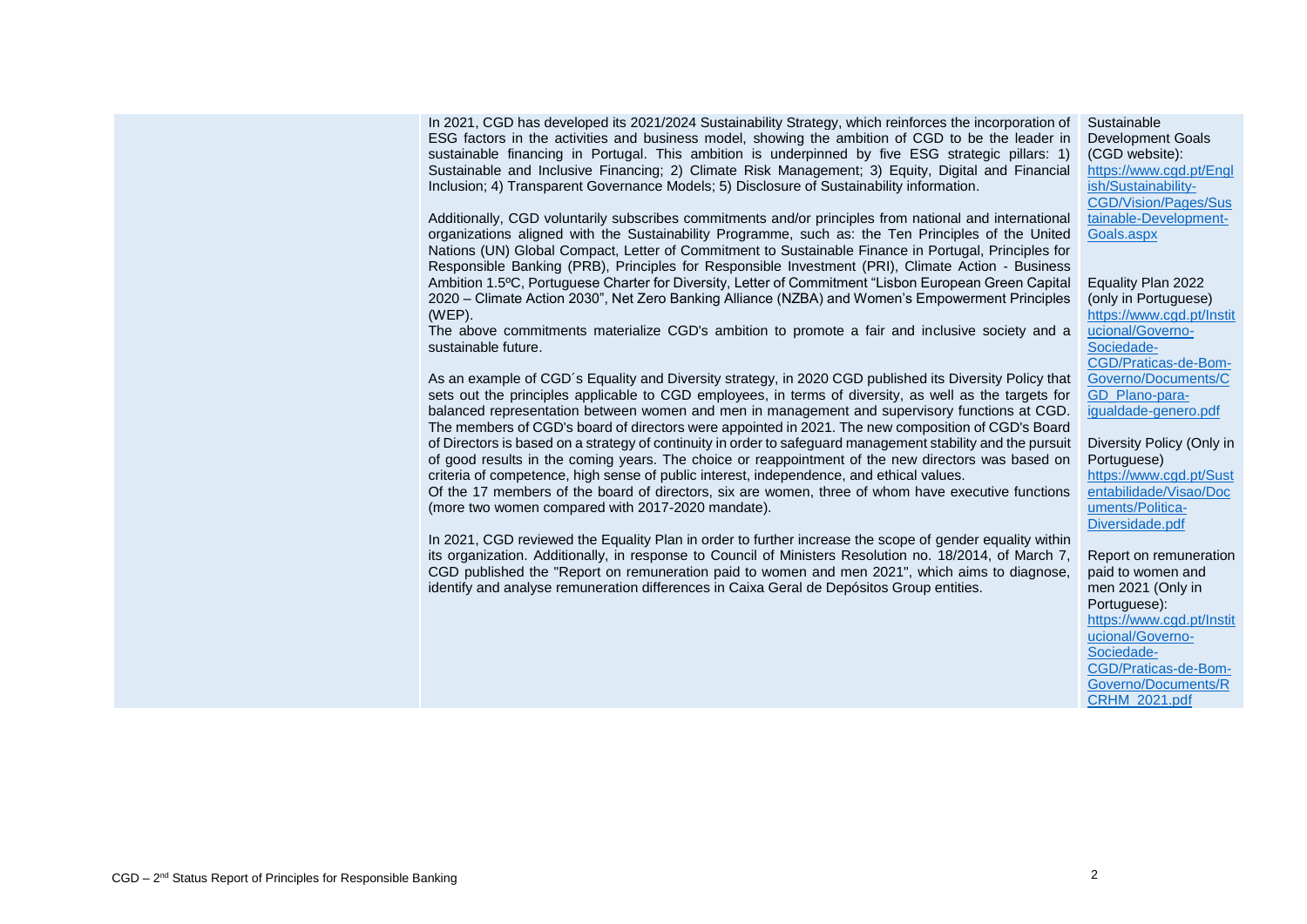In 2021, CGD has developed its 2021/2024 Sustainability Strategy, which reinforces the incorporation of ESG factors in the activities and business model, showing the ambition of CGD to be the leader in sustainable financing in Portugal. This ambition is underpinned by five ESG strategic pillars: 1) Sustainable and Inclusive Financing; 2) Climate Risk Management; 3) Equity, Digital and Financial Inclusion; 4) Transparent Governance Models; 5) Disclosure of Sustainability information.

Additionally, CGD voluntarily subscribes commitments and/or principles from national and international organizations aligned with the Sustainability Programme, such as: the Ten Principles of the United Nations (UN) Global Compact, Letter of Commitment to Sustainable Finance in Portugal, Principles for Responsible Banking (PRB), Principles for Responsible Investment (PRI), Climate Action - Business Ambition 1.5ºC, Portuguese Charter for Diversity, Letter of Commitment "Lisbon European Green Capital 2020 – Climate Action 2030", Net Zero Banking Alliance (NZBA) and Women's Empowerment Principles (WEP).

The above commitments materialize CGD's ambition to promote a fair and inclusive society and a sustainable future.

As an example of CGD´s Equality and Diversity strategy, in 2020 CGD published its Diversity Policy that sets out the principles applicable to CGD employees, in terms of diversity, as well as the targets for balanced representation between women and men in management and supervisory functions at CGD. The members of CGD's board of directors were appointed in 2021. The new composition of CGD's Board of Directors is based on a strategy of continuity in order to safeguard management stability and the pursuit of good results in the coming years. The choice or reappointment of the new directors was based on criteria of competence, high sense of public interest, independence, and ethical values.

Of the 17 members of the board of directors, six are women, three of whom have executive functions (more two women compared with 2017-2020 mandate).

In 2021, CGD reviewed the Equality Plan in order to further increase the scope of gender equality within its organization. Additionally, in response to Council of Ministers Resolution no. 18/2014, of March 7, CGD published the "Report on remuneration paid to women and men 2021", which aims to diagnose, identify and analyse remuneration differences in Caixa Geral de Depósitos Group entities.

Sustainable Development Goals (CGD website): [https://www.cgd.pt/Engl](https://www.cgd.pt/English/Sustainability-CGD/Vision/Pages/Sustainable-Development-Goals.aspx) [ish/Sustainability-](https://www.cgd.pt/English/Sustainability-CGD/Vision/Pages/Sustainable-Development-Goals.aspx)[CGD/Vision/Pages/Sus](https://www.cgd.pt/English/Sustainability-CGD/Vision/Pages/Sustainable-Development-Goals.aspx) [tainable-Development-](https://www.cgd.pt/English/Sustainability-CGD/Vision/Pages/Sustainable-Development-Goals.aspx)[Goals.aspx](https://www.cgd.pt/English/Sustainability-CGD/Vision/Pages/Sustainable-Development-Goals.aspx)

Equality Plan 2022 (only in Portuguese) [https://www.cgd.pt/Instit](https://www.cgd.pt/Institucional/Governo-Sociedade-CGD/Praticas-de-Bom-Governo/Documents/CGD_Plano-para-igualdade-genero.pdf) [ucional/Governo-](https://www.cgd.pt/Institucional/Governo-Sociedade-CGD/Praticas-de-Bom-Governo/Documents/CGD_Plano-para-igualdade-genero.pdf)[Sociedade-](https://www.cgd.pt/Institucional/Governo-Sociedade-CGD/Praticas-de-Bom-Governo/Documents/CGD_Plano-para-igualdade-genero.pdf)[CGD/Praticas-de-Bom-](https://www.cgd.pt/Institucional/Governo-Sociedade-CGD/Praticas-de-Bom-Governo/Documents/CGD_Plano-para-igualdade-genero.pdf)[Governo/Documents/C](https://www.cgd.pt/Institucional/Governo-Sociedade-CGD/Praticas-de-Bom-Governo/Documents/CGD_Plano-para-igualdade-genero.pdf) [GD\\_Plano-para](https://www.cgd.pt/Institucional/Governo-Sociedade-CGD/Praticas-de-Bom-Governo/Documents/CGD_Plano-para-igualdade-genero.pdf)[igualdade-genero.pdf](https://www.cgd.pt/Institucional/Governo-Sociedade-CGD/Praticas-de-Bom-Governo/Documents/CGD_Plano-para-igualdade-genero.pdf)

## Diversity Policy (Only in Portuguese)

[https://www.cgd.pt/Sust](https://www.cgd.pt/Sustentabilidade/Visao/Documents/Politica-Diversidade.pdf) [entabilidade/Visao/Doc](https://www.cgd.pt/Sustentabilidade/Visao/Documents/Politica-Diversidade.pdf) [uments/Politica-](https://www.cgd.pt/Sustentabilidade/Visao/Documents/Politica-Diversidade.pdf)[Diversidade.pdf](https://www.cgd.pt/Sustentabilidade/Visao/Documents/Politica-Diversidade.pdf)

Report on remuneration paid to women and men 2021 (Only in Portuguese): [https://www.cgd.pt/Instit](https://www.cgd.pt/Institucional/Governo-Sociedade-CGD/Praticas-de-Bom-Governo/Documents/RCRHM_2021.pdf) [ucional/Governo-](https://www.cgd.pt/Institucional/Governo-Sociedade-CGD/Praticas-de-Bom-Governo/Documents/RCRHM_2021.pdf)[Sociedade-](https://www.cgd.pt/Institucional/Governo-Sociedade-CGD/Praticas-de-Bom-Governo/Documents/RCRHM_2021.pdf)[CGD/Praticas-de-Bom-](https://www.cgd.pt/Institucional/Governo-Sociedade-CGD/Praticas-de-Bom-Governo/Documents/RCRHM_2021.pdf)[Governo/Documents/R](https://www.cgd.pt/Institucional/Governo-Sociedade-CGD/Praticas-de-Bom-Governo/Documents/RCRHM_2021.pdf) [CRHM\\_2021.pdf](https://www.cgd.pt/Institucional/Governo-Sociedade-CGD/Praticas-de-Bom-Governo/Documents/RCRHM_2021.pdf)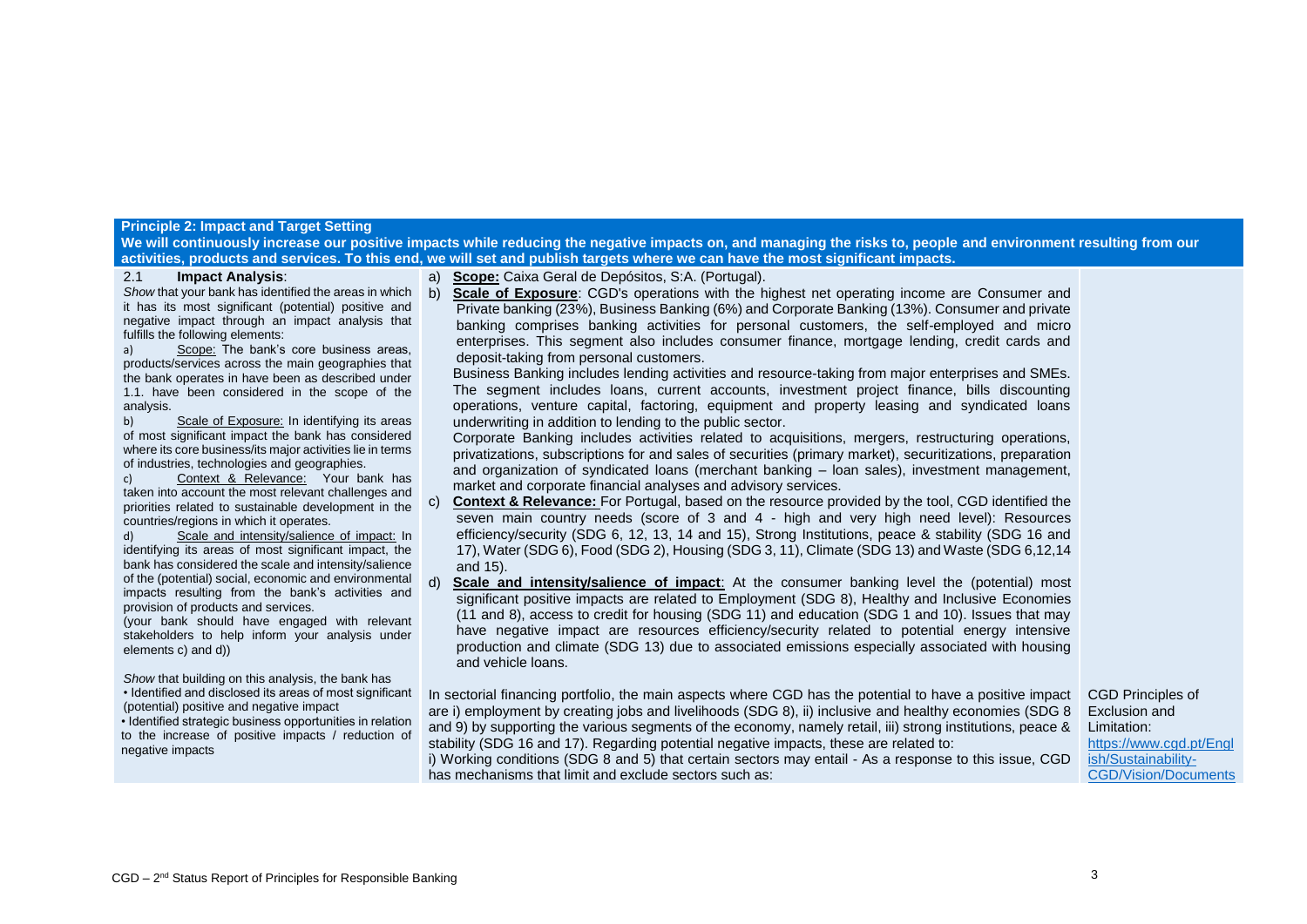#### **Principle 2: Impact and Target Setting**

**We will continuously increase our positive impacts while reducing the negative impacts on, and managing the risks to, people and environment resulting from our activities, products and services. To this end, we will set and publish targets where we can have the most significant impacts.**

## 2.1 **Impact Analysis**:

*Show* that your bank has identified the areas in which it has its most significant (potential) positive and negative impact through an impact analysis that fulfills the following elements:

a) Scope: The bank's core business areas, products/services across the main geographies that the bank operates in have been as described under 1.1. have been considered in the scope of the analysis.

b) Scale of Exposure: In identifying its areas of most significant impact the bank has considered where its core business/its major activities lie in terms of industries, technologies and geographies.

c) Context & Relevance: Your bank has taken into account the most relevant challenges and priorities related to sustainable development in the countries/regions in which it operates.

d) Scale and intensity/salience of impact: In identifying its areas of most significant impact, the bank has considered the scale and intensity/salience of the (potential) social, economic and environmental impacts resulting from the bank's activities and provision of products and services.

(your bank should have engaged with relevant stakeholders to help inform your analysis under elements c) and d))

*Show* that building on this analysis, the bank has • Identified and disclosed its areas of most significant (potential) positive and negative impact

• Identified strategic business opportunities in relation to the increase of positive impacts / reduction of negative impacts

a) **Scope:** Caixa Geral de Depósitos, S:A. (Portugal).

b) **Scale of Exposure**: CGD's operations with the highest net operating income are Consumer and Private banking (23%), Business Banking (6%) and Corporate Banking (13%). Consumer and private banking comprises banking activities for personal customers, the self-employed and micro enterprises. This segment also includes consumer finance, mortgage lending, credit cards and deposit-taking from personal customers.

Business Banking includes lending activities and resource-taking from major enterprises and SMEs. The segment includes loans, current accounts, investment project finance, bills discounting operations, venture capital, factoring, equipment and property leasing and syndicated loans underwriting in addition to lending to the public sector.

Corporate Banking includes activities related to acquisitions, mergers, restructuring operations, privatizations, subscriptions for and sales of securities (primary market), securitizations, preparation and organization of syndicated loans (merchant banking – loan sales), investment management, market and corporate financial analyses and advisory services.

c) **Context & Relevance:** For Portugal, based on the resource provided by the tool, CGD identified the seven main country needs (score of 3 and 4 - high and very high need level): Resources efficiency/security (SDG 6, 12, 13, 14 and 15), Strong Institutions, peace & stability (SDG 16 and 17), Water (SDG 6), Food (SDG 2), Housing (SDG 3, 11), Climate (SDG 13) and Waste (SDG 6,12,14 and 15).

d) **Scale and intensity/salience of impact**: At the consumer banking level the (potential) most significant positive impacts are related to Employment (SDG 8), Healthy and Inclusive Economies (11 and 8), access to credit for housing (SDG 11) and education (SDG 1 and 10). Issues that may have negative impact are resources efficiency/security related to potential energy intensive production and climate (SDG 13) due to associated emissions especially associated with housing and vehicle loans.

In sectorial financing portfolio, the main aspects where CGD has the potential to have a positive impact are i) employment by creating jobs and livelihoods (SDG 8), ii) inclusive and healthy economies (SDG 8 and 9) by supporting the various segments of the economy, namely retail, iii) strong institutions, peace & stability (SDG 16 and 17). Regarding potential negative impacts, these are related to:

i) Working conditions (SDG 8 and 5) that certain sectors may entail - As a response to this issue, CGD has mechanisms that limit and exclude sectors such as:

CGD Principles of Exclusion and Limitation: [https://www.cgd.pt/Engl](https://www.cgd.pt/English/Sustainability-CGD/Vision/Documents/Policy-Limitation-Sectorial-Exclusion.pdf) [ish/Sustainability-](https://www.cgd.pt/English/Sustainability-CGD/Vision/Documents/Policy-Limitation-Sectorial-Exclusion.pdf)[CGD/Vision/Documents](https://www.cgd.pt/English/Sustainability-CGD/Vision/Documents/Policy-Limitation-Sectorial-Exclusion.pdf)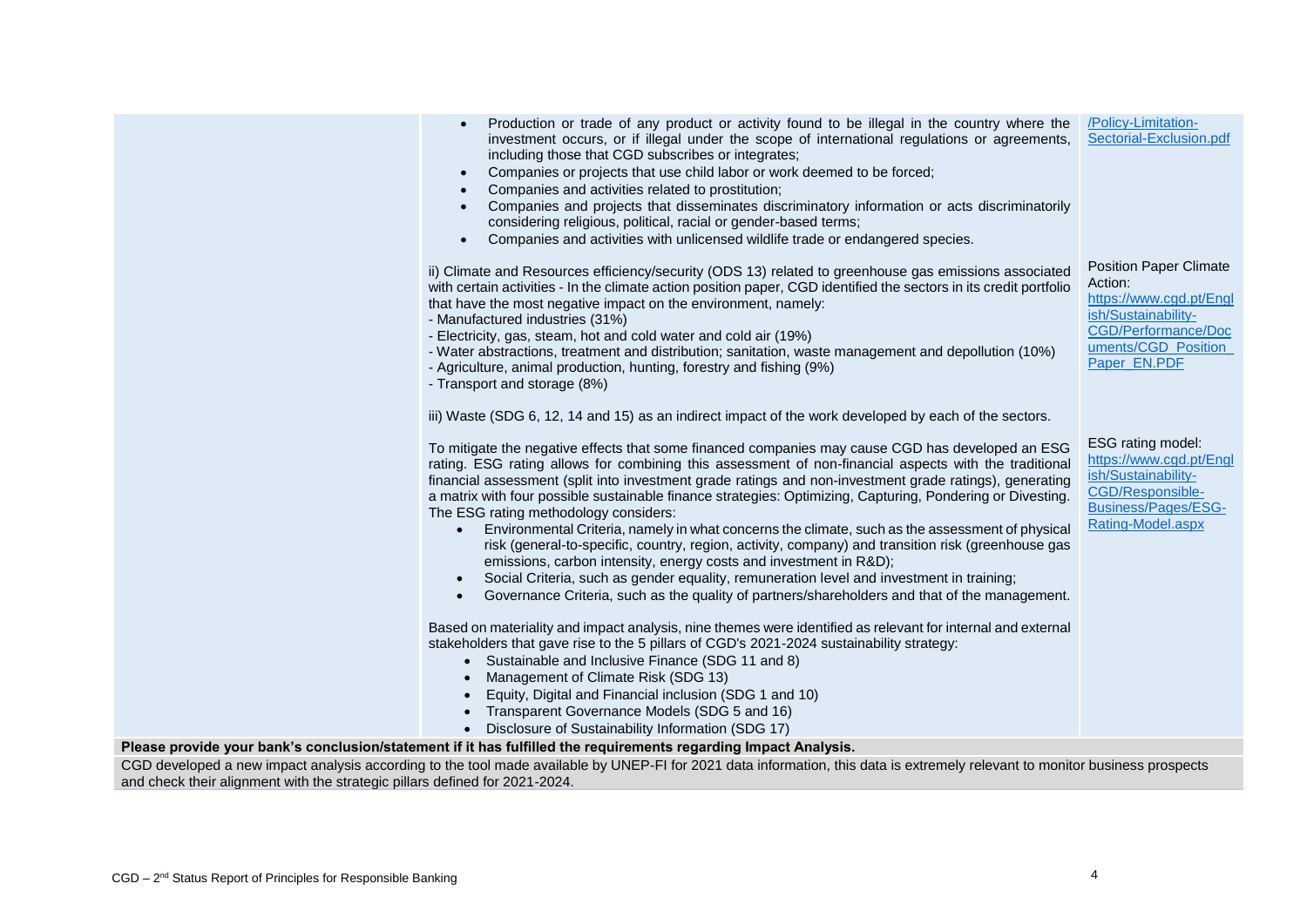| Production or trade of any product or activity found to be illegal in the country where the<br>investment occurs, or if illegal under the scope of international regulations or agreements,<br>including those that CGD subscribes or integrates;<br>Companies or projects that use child labor or work deemed to be forced;<br>Companies and activities related to prostitution;<br>$\bullet$<br>Companies and projects that disseminates discriminatory information or acts discriminatorily<br>considering religious, political, racial or gender-based terms;<br>Companies and activities with unlicensed wildlife trade or endangered species.<br>$\bullet$                                                                                                                                                                                                                                                                                                                 | /Policy-Limitation-<br>Sectorial-Exclusion.pdf                                                                                                           |
|----------------------------------------------------------------------------------------------------------------------------------------------------------------------------------------------------------------------------------------------------------------------------------------------------------------------------------------------------------------------------------------------------------------------------------------------------------------------------------------------------------------------------------------------------------------------------------------------------------------------------------------------------------------------------------------------------------------------------------------------------------------------------------------------------------------------------------------------------------------------------------------------------------------------------------------------------------------------------------|----------------------------------------------------------------------------------------------------------------------------------------------------------|
| ii) Climate and Resources efficiency/security (ODS 13) related to greenhouse gas emissions associated<br>with certain activities - In the climate action position paper, CGD identified the sectors in its credit portfolio<br>that have the most negative impact on the environment, namely:<br>- Manufactured industries (31%)<br>- Electricity, gas, steam, hot and cold water and cold air (19%)<br>- Water abstractions, treatment and distribution; sanitation, waste management and depollution (10%)<br>- Agriculture, animal production, hunting, forestry and fishing (9%)<br>- Transport and storage (8%)                                                                                                                                                                                                                                                                                                                                                             | <b>Position Paper Climate</b><br>Action:<br>https://www.cgd.pt/Engl<br>ish/Sustainability-<br>CGD/Performance/Doc<br>uments/CGD_Position<br>Paper_EN.PDF |
| iii) Waste (SDG 6, 12, 14 and 15) as an indirect impact of the work developed by each of the sectors.                                                                                                                                                                                                                                                                                                                                                                                                                                                                                                                                                                                                                                                                                                                                                                                                                                                                            |                                                                                                                                                          |
| To mitigate the negative effects that some financed companies may cause CGD has developed an ESG<br>rating. ESG rating allows for combining this assessment of non-financial aspects with the traditional<br>financial assessment (split into investment grade ratings and non-investment grade ratings), generating<br>a matrix with four possible sustainable finance strategies: Optimizing, Capturing, Pondering or Divesting.<br>The ESG rating methodology considers:<br>Environmental Criteria, namely in what concerns the climate, such as the assessment of physical<br>$\bullet$<br>risk (general-to-specific, country, region, activity, company) and transition risk (greenhouse gas<br>emissions, carbon intensity, energy costs and investment in R&D);<br>Social Criteria, such as gender equality, remuneration level and investment in training;<br>$\bullet$<br>Governance Criteria, such as the quality of partners/shareholders and that of the management. | ESG rating model:<br>https://www.cgd.pt/Engl<br>ish/Sustainability-<br>CGD/Responsible-<br>Business/Pages/ESG-<br>Rating-Model.aspx                      |
| Based on materiality and impact analysis, nine themes were identified as relevant for internal and external<br>stakeholders that gave rise to the 5 pillars of CGD's 2021-2024 sustainability strategy:<br>• Sustainable and Inclusive Finance (SDG 11 and 8)<br>Management of Climate Risk (SDG 13)                                                                                                                                                                                                                                                                                                                                                                                                                                                                                                                                                                                                                                                                             |                                                                                                                                                          |
| Equity, Digital and Financial inclusion (SDG 1 and 10)<br>Transparent Governance Models (SDG 5 and 16)<br>• Disclosure of Sustainability Information (SDG 17)                                                                                                                                                                                                                                                                                                                                                                                                                                                                                                                                                                                                                                                                                                                                                                                                                    |                                                                                                                                                          |
| Please provide your bank's conclusion/statement if it has fulfilled the requirements regarding Impact Analysis.                                                                                                                                                                                                                                                                                                                                                                                                                                                                                                                                                                                                                                                                                                                                                                                                                                                                  |                                                                                                                                                          |
| CGD developed a new impact analysis according to the tool made available by UNEP-FI for 2021 data information, this data is extremely relevant to monitor business prospects                                                                                                                                                                                                                                                                                                                                                                                                                                                                                                                                                                                                                                                                                                                                                                                                     |                                                                                                                                                          |
|                                                                                                                                                                                                                                                                                                                                                                                                                                                                                                                                                                                                                                                                                                                                                                                                                                                                                                                                                                                  |                                                                                                                                                          |

and check their alignment with the strategic pillars defined for 2021-2024.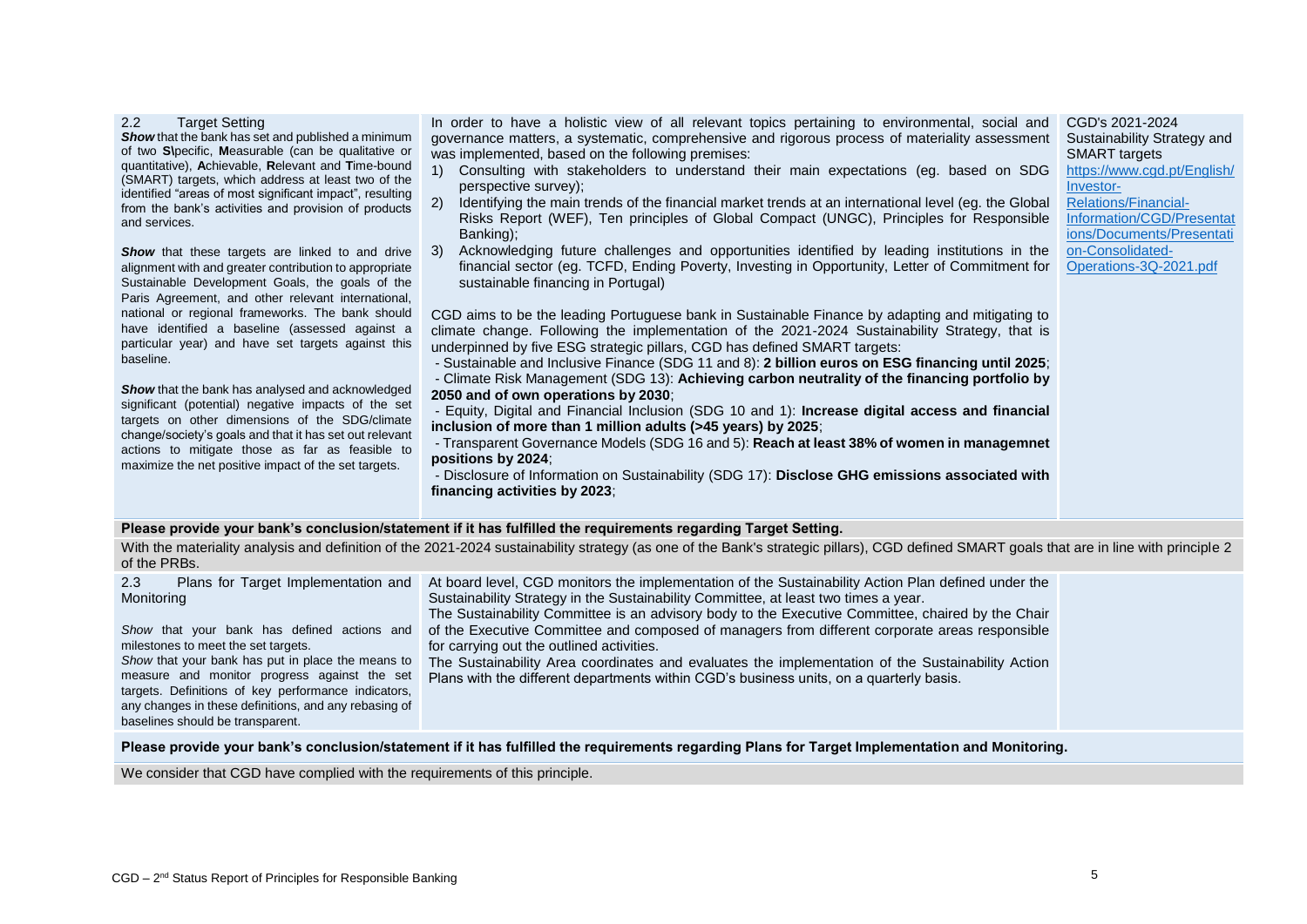| <b>Target Setting</b><br>2.2<br>Show that the bank has set and published a minimum<br>of two S\pecific, Measurable (can be qualitative or<br>quantitative), Achievable, Relevant and Time-bound<br>(SMART) targets, which address at least two of the<br>identified "areas of most significant impact", resulting<br>from the bank's activities and provision of products<br>and services.<br><b>Show</b> that these targets are linked to and drive<br>alignment with and greater contribution to appropriate<br>Sustainable Development Goals, the goals of the<br>Paris Agreement, and other relevant international,<br>national or regional frameworks. The bank should<br>have identified a baseline (assessed against a<br>particular year) and have set targets against this<br>baseline.<br>Show that the bank has analysed and acknowledged<br>significant (potential) negative impacts of the set<br>targets on other dimensions of the SDG/climate<br>change/society's goals and that it has set out relevant<br>actions to mitigate those as far as feasible to<br>maximize the net positive impact of the set targets. | In order to have a holistic view of all relevant topics pertaining to environmental, social and<br>governance matters, a systematic, comprehensive and rigorous process of materiality assessment<br>was implemented, based on the following premises:<br>Consulting with stakeholders to understand their main expectations (eg. based on SDG<br>(1)<br>perspective survey);<br>Identifying the main trends of the financial market trends at an international level (eg. the Global<br>2)<br>Risks Report (WEF), Ten principles of Global Compact (UNGC), Principles for Responsible<br>Banking);<br>Acknowledging future challenges and opportunities identified by leading institutions in the<br>3)<br>financial sector (eg. TCFD, Ending Poverty, Investing in Opportunity, Letter of Commitment for<br>sustainable financing in Portugal)<br>CGD aims to be the leading Portuguese bank in Sustainable Finance by adapting and mitigating to<br>climate change. Following the implementation of the 2021-2024 Sustainability Strategy, that is<br>underpinned by five ESG strategic pillars, CGD has defined SMART targets:<br>- Sustainable and Inclusive Finance (SDG 11 and 8): 2 billion euros on ESG financing until 2025;<br>- Climate Risk Management (SDG 13): Achieving carbon neutrality of the financing portfolio by<br>2050 and of own operations by 2030;<br>- Equity, Digital and Financial Inclusion (SDG 10 and 1): Increase digital access and financial<br>inclusion of more than 1 million adults (>45 years) by 2025;<br>- Transparent Governance Models (SDG 16 and 5): Reach at least 38% of women in managemnet<br>positions by 2024;<br>- Disclosure of Information on Sustainability (SDG 17): Disclose GHG emissions associated with<br>financing activities by 2023; | CGD's 2021-2024<br>Sustainability Strategy and<br><b>SMART</b> targets<br>https://www.cgd.pt/English/<br>Investor-<br><b>Relations/Financial-</b><br>Information/CGD/Presentat<br>ions/Documents/Presentati<br>on-Consolidated-<br>Operations-3Q-2021.pdf |  |
|-------------------------------------------------------------------------------------------------------------------------------------------------------------------------------------------------------------------------------------------------------------------------------------------------------------------------------------------------------------------------------------------------------------------------------------------------------------------------------------------------------------------------------------------------------------------------------------------------------------------------------------------------------------------------------------------------------------------------------------------------------------------------------------------------------------------------------------------------------------------------------------------------------------------------------------------------------------------------------------------------------------------------------------------------------------------------------------------------------------------------------------|---------------------------------------------------------------------------------------------------------------------------------------------------------------------------------------------------------------------------------------------------------------------------------------------------------------------------------------------------------------------------------------------------------------------------------------------------------------------------------------------------------------------------------------------------------------------------------------------------------------------------------------------------------------------------------------------------------------------------------------------------------------------------------------------------------------------------------------------------------------------------------------------------------------------------------------------------------------------------------------------------------------------------------------------------------------------------------------------------------------------------------------------------------------------------------------------------------------------------------------------------------------------------------------------------------------------------------------------------------------------------------------------------------------------------------------------------------------------------------------------------------------------------------------------------------------------------------------------------------------------------------------------------------------------------------------------------------------------------------------------------------------------------------------------------------|-----------------------------------------------------------------------------------------------------------------------------------------------------------------------------------------------------------------------------------------------------------|--|
| Please provide your bank's conclusion/statement if it has fulfilled the requirements regarding Target Setting.                                                                                                                                                                                                                                                                                                                                                                                                                                                                                                                                                                                                                                                                                                                                                                                                                                                                                                                                                                                                                      |                                                                                                                                                                                                                                                                                                                                                                                                                                                                                                                                                                                                                                                                                                                                                                                                                                                                                                                                                                                                                                                                                                                                                                                                                                                                                                                                                                                                                                                                                                                                                                                                                                                                                                                                                                                                         |                                                                                                                                                                                                                                                           |  |
| With the materiality analysis and definition of the 2021-2024 sustainability strategy (as one of the Bank's strategic pillars), CGD defined SMART goals that are in line with principle 2<br>of the PRBs.                                                                                                                                                                                                                                                                                                                                                                                                                                                                                                                                                                                                                                                                                                                                                                                                                                                                                                                           |                                                                                                                                                                                                                                                                                                                                                                                                                                                                                                                                                                                                                                                                                                                                                                                                                                                                                                                                                                                                                                                                                                                                                                                                                                                                                                                                                                                                                                                                                                                                                                                                                                                                                                                                                                                                         |                                                                                                                                                                                                                                                           |  |
| 2.3<br>Plans for Target Implementation and<br>Monitoring<br>Show that your bank has defined actions and<br>milestones to meet the set targets.<br>Show that your bank has put in place the means to<br>measure and monitor progress against the set<br>targets. Definitions of key performance indicators,<br>any changes in these definitions, and any rebasing of                                                                                                                                                                                                                                                                                                                                                                                                                                                                                                                                                                                                                                                                                                                                                                 | At board level, CGD monitors the implementation of the Sustainability Action Plan defined under the<br>Sustainability Strategy in the Sustainability Committee, at least two times a year.<br>The Sustainability Committee is an advisory body to the Executive Committee, chaired by the Chair<br>of the Executive Committee and composed of managers from different corporate areas responsible<br>for carrying out the outlined activities.<br>The Sustainability Area coordinates and evaluates the implementation of the Sustainability Action<br>Plans with the different departments within CGD's business units, on a quarterly basis.                                                                                                                                                                                                                                                                                                                                                                                                                                                                                                                                                                                                                                                                                                                                                                                                                                                                                                                                                                                                                                                                                                                                                          |                                                                                                                                                                                                                                                           |  |

**Please provide your bank's conclusion/statement if it has fulfilled the requirements regarding Plans for Target Implementation and Monitoring.**

We consider that CGD have complied with the requirements of this principle.

baselines should be transparent.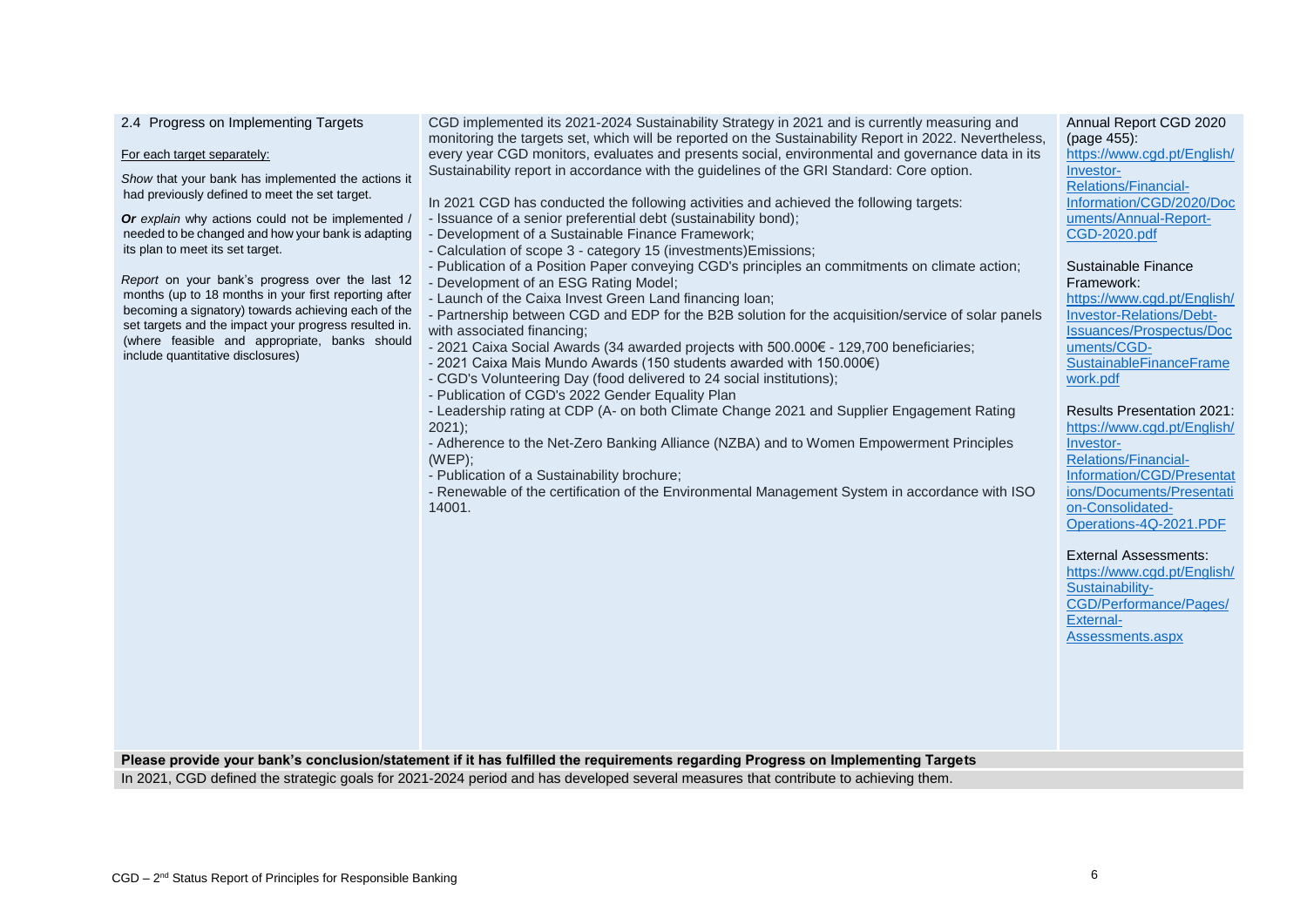| 2.4 Progress on Implementing Targets<br>For each target separately:<br>Show that your bank has implemented the actions it<br>had previously defined to meet the set target.<br>Or explain why actions could not be implemented /<br>needed to be changed and how your bank is adapting<br>its plan to meet its set target.<br>Report on your bank's progress over the last 12<br>months (up to 18 months in your first reporting after<br>becoming a signatory) towards achieving each of the<br>set targets and the impact your progress resulted in.<br>(where feasible and appropriate, banks should<br>include quantitative disclosures) | CGD implemented its 2021-2024 Sustainability Strategy in 2021 and is currently measuring and<br>monitoring the targets set, which will be reported on the Sustainability Report in 2022. Nevertheless,<br>every year CGD monitors, evaluates and presents social, environmental and governance data in its<br>Sustainability report in accordance with the guidelines of the GRI Standard: Core option.<br>In 2021 CGD has conducted the following activities and achieved the following targets:<br>- Issuance of a senior preferential debt (sustainability bond);<br>- Development of a Sustainable Finance Framework;<br>- Calculation of scope 3 - category 15 (investments) Emissions;<br>- Publication of a Position Paper conveying CGD's principles an commitments on climate action;<br>- Development of an ESG Rating Model;<br>- Launch of the Caixa Invest Green Land financing loan;<br>- Partnership between CGD and EDP for the B2B solution for the acquisition/service of solar panels<br>with associated financing;<br>- 2021 Caixa Social Awards (34 awarded projects with 500.000€ - 129,700 beneficiaries;<br>- 2021 Caixa Mais Mundo Awards (150 students awarded with 150.000€)<br>- CGD's Volunteering Day (food delivered to 24 social institutions);<br>- Publication of CGD's 2022 Gender Equality Plan<br>- Leadership rating at CDP (A- on both Climate Change 2021 and Supplier Engagement Rating<br>$2021$ ;<br>- Adherence to the Net-Zero Banking Alliance (NZBA) and to Women Empowerment Principles<br>(WEP);<br>- Publication of a Sustainability brochure;<br>- Renewable of the certification of the Environmental Management System in accordance with ISO<br>14001. | Annual Report CGD 2020<br>(page 455):<br>https://www.cgd.pt/English/<br>Investor-<br>Relations/Financial-<br>Information/CGD/2020/Doc<br>uments/Annual-Report-<br><b>CGD-2020.pdf</b><br>Sustainable Finance<br>Framework:<br>https://www.cgd.pt/English/<br>Investor-Relations/Debt-<br>Issuances/Prospectus/Doc<br>uments/CGD-<br>SustainableFinanceFrame<br>work.pdf<br><b>Results Presentation 2021:</b><br>https://www.cgd.pt/English/<br>Investor-<br><b>Relations/Financial-</b><br>Information/CGD/Presentat<br>ions/Documents/Presentati<br>on-Consolidated-<br>Operations-4Q-2021.PDF<br><b>External Assessments:</b><br>https://www.cqd.pt/English/<br>Sustainability-<br>CGD/Performance/Pages/<br>External-<br>Assessments.aspx |
|----------------------------------------------------------------------------------------------------------------------------------------------------------------------------------------------------------------------------------------------------------------------------------------------------------------------------------------------------------------------------------------------------------------------------------------------------------------------------------------------------------------------------------------------------------------------------------------------------------------------------------------------|--------------------------------------------------------------------------------------------------------------------------------------------------------------------------------------------------------------------------------------------------------------------------------------------------------------------------------------------------------------------------------------------------------------------------------------------------------------------------------------------------------------------------------------------------------------------------------------------------------------------------------------------------------------------------------------------------------------------------------------------------------------------------------------------------------------------------------------------------------------------------------------------------------------------------------------------------------------------------------------------------------------------------------------------------------------------------------------------------------------------------------------------------------------------------------------------------------------------------------------------------------------------------------------------------------------------------------------------------------------------------------------------------------------------------------------------------------------------------------------------------------------------------------------------------------------------------------------------------------------------------------------------------------------------------------------------------------------|----------------------------------------------------------------------------------------------------------------------------------------------------------------------------------------------------------------------------------------------------------------------------------------------------------------------------------------------------------------------------------------------------------------------------------------------------------------------------------------------------------------------------------------------------------------------------------------------------------------------------------------------------------------------------------------------------------------------------------------------|
|                                                                                                                                                                                                                                                                                                                                                                                                                                                                                                                                                                                                                                              | Please provide your bank's conclusion/statement if it has fulfilled the requirements regarding Progress on Implementing Targets                                                                                                                                                                                                                                                                                                                                                                                                                                                                                                                                                                                                                                                                                                                                                                                                                                                                                                                                                                                                                                                                                                                                                                                                                                                                                                                                                                                                                                                                                                                                                                              |                                                                                                                                                                                                                                                                                                                                                                                                                                                                                                                                                                                                                                                                                                                                              |

In 2021, CGD defined the strategic goals for 2021-2024 period and has developed several measures that contribute to achieving them.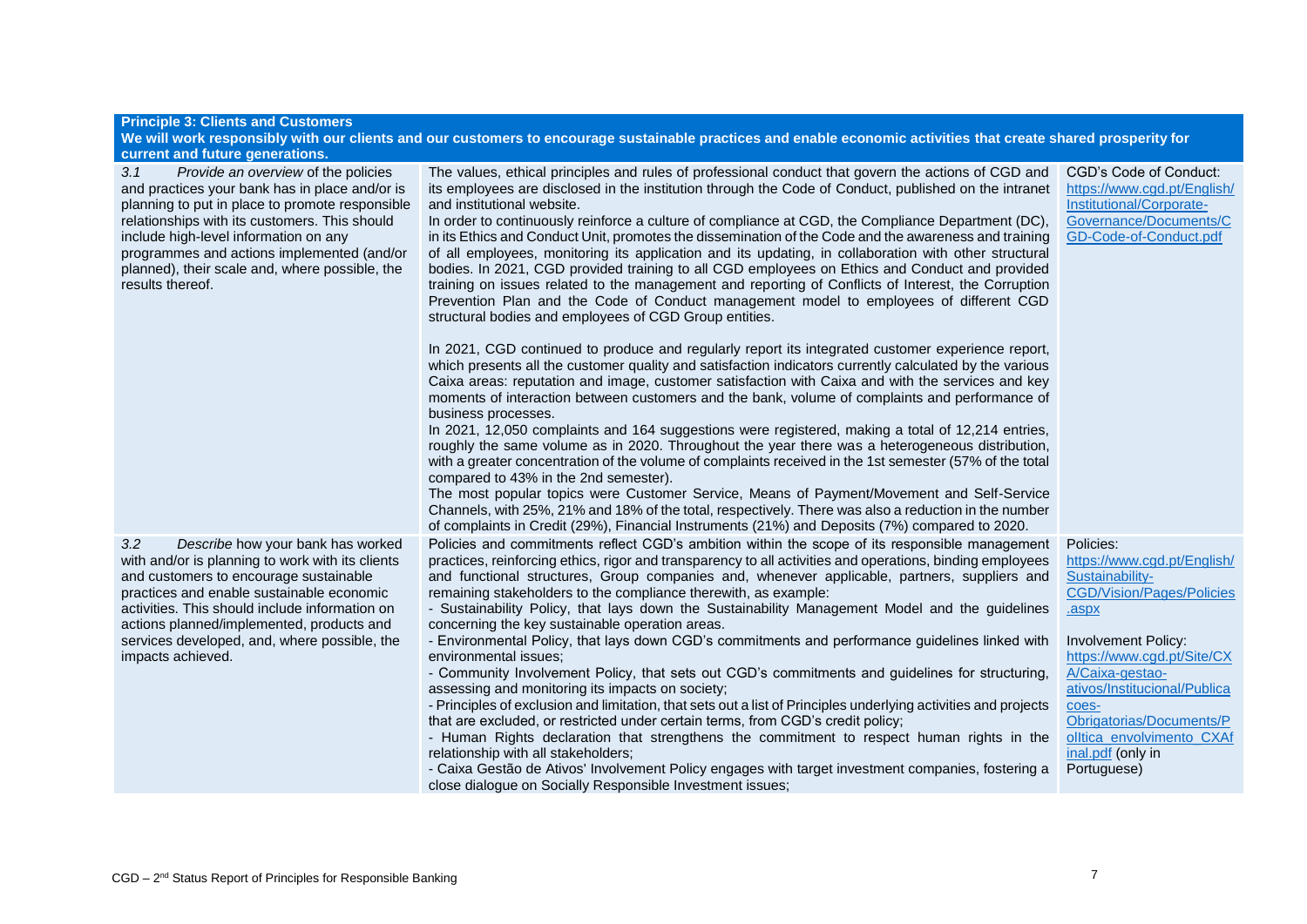| <b>Principle 3: Clients and Customers</b>                                                                                                                                                                                                                                                                                                                                                        |                                                                                                                                                                                                                                                                                                                                                                                                                                                                                                                                                                                                                                                                                                                                                                                                                                                                                                                                                                                                                                                                                                                                                                                                                                                                                                                                                                                                                                                                                                                                                                                                                                                                                                                                                                                                                                                                                                                                                                                                                                                  |                                                                                                                                                                                                                                                                                                                        |  |
|--------------------------------------------------------------------------------------------------------------------------------------------------------------------------------------------------------------------------------------------------------------------------------------------------------------------------------------------------------------------------------------------------|--------------------------------------------------------------------------------------------------------------------------------------------------------------------------------------------------------------------------------------------------------------------------------------------------------------------------------------------------------------------------------------------------------------------------------------------------------------------------------------------------------------------------------------------------------------------------------------------------------------------------------------------------------------------------------------------------------------------------------------------------------------------------------------------------------------------------------------------------------------------------------------------------------------------------------------------------------------------------------------------------------------------------------------------------------------------------------------------------------------------------------------------------------------------------------------------------------------------------------------------------------------------------------------------------------------------------------------------------------------------------------------------------------------------------------------------------------------------------------------------------------------------------------------------------------------------------------------------------------------------------------------------------------------------------------------------------------------------------------------------------------------------------------------------------------------------------------------------------------------------------------------------------------------------------------------------------------------------------------------------------------------------------------------------------|------------------------------------------------------------------------------------------------------------------------------------------------------------------------------------------------------------------------------------------------------------------------------------------------------------------------|--|
| We will work responsibly with our clients and our customers to encourage sustainable practices and enable economic activities that create shared prosperity for                                                                                                                                                                                                                                  |                                                                                                                                                                                                                                                                                                                                                                                                                                                                                                                                                                                                                                                                                                                                                                                                                                                                                                                                                                                                                                                                                                                                                                                                                                                                                                                                                                                                                                                                                                                                                                                                                                                                                                                                                                                                                                                                                                                                                                                                                                                  |                                                                                                                                                                                                                                                                                                                        |  |
| current and future generations.<br>Provide an overview of the policies<br>3.1<br>and practices your bank has in place and/or is<br>planning to put in place to promote responsible<br>relationships with its customers. This should<br>include high-level information on any<br>programmes and actions implemented (and/or<br>planned), their scale and, where possible, the<br>results thereof. | The values, ethical principles and rules of professional conduct that govern the actions of CGD and<br>its employees are disclosed in the institution through the Code of Conduct, published on the intranet<br>and institutional website.<br>In order to continuously reinforce a culture of compliance at CGD, the Compliance Department (DC),<br>in its Ethics and Conduct Unit, promotes the dissemination of the Code and the awareness and training<br>of all employees, monitoring its application and its updating, in collaboration with other structural<br>bodies. In 2021, CGD provided training to all CGD employees on Ethics and Conduct and provided<br>training on issues related to the management and reporting of Conflicts of Interest, the Corruption<br>Prevention Plan and the Code of Conduct management model to employees of different CGD<br>structural bodies and employees of CGD Group entities.<br>In 2021, CGD continued to produce and regularly report its integrated customer experience report,<br>which presents all the customer quality and satisfaction indicators currently calculated by the various<br>Caixa areas: reputation and image, customer satisfaction with Caixa and with the services and key<br>moments of interaction between customers and the bank, volume of complaints and performance of<br>business processes.<br>In 2021, 12,050 complaints and 164 suggestions were registered, making a total of 12,214 entries,<br>roughly the same volume as in 2020. Throughout the year there was a heterogeneous distribution,<br>with a greater concentration of the volume of complaints received in the 1st semester (57% of the total<br>compared to 43% in the 2nd semester).<br>The most popular topics were Customer Service, Means of Payment/Movement and Self-Service<br>Channels, with 25%, 21% and 18% of the total, respectively. There was also a reduction in the number<br>of complaints in Credit (29%), Financial Instruments (21%) and Deposits (7%) compared to 2020. | CGD's Code of Conduct:<br>https://www.cgd.pt/English/<br>Institutional/Corporate-<br>Governance/Documents/C<br>GD-Code-of-Conduct.pdf                                                                                                                                                                                  |  |
| Describe how your bank has worked<br>3.2<br>with and/or is planning to work with its clients<br>and customers to encourage sustainable<br>practices and enable sustainable economic<br>activities. This should include information on<br>actions planned/implemented, products and<br>services developed, and, where possible, the<br>impacts achieved.                                          | Policies and commitments reflect CGD's ambition within the scope of its responsible management<br>practices, reinforcing ethics, rigor and transparency to all activities and operations, binding employees<br>and functional structures, Group companies and, whenever applicable, partners, suppliers and<br>remaining stakeholders to the compliance therewith, as example:<br>- Sustainability Policy, that lays down the Sustainability Management Model and the guidelines<br>concerning the key sustainable operation areas.<br>- Environmental Policy, that lays down CGD's commitments and performance guidelines linked with<br>environmental issues:<br>- Community Involvement Policy, that sets out CGD's commitments and guidelines for structuring,<br>assessing and monitoring its impacts on society;<br>- Principles of exclusion and limitation, that sets out a list of Principles underlying activities and projects<br>that are excluded, or restricted under certain terms, from CGD's credit policy;<br>- Human Rights declaration that strengthens the commitment to respect human rights in the<br>relationship with all stakeholders;<br>- Caixa Gestão de Ativos' Involvement Policy engages with target investment companies, fostering a<br>close dialogue on Socially Responsible Investment issues;                                                                                                                                                                                                                                                                                                                                                                                                                                                                                                                                                                                                                                                                                                              | Policies:<br>https://www.cgd.pt/English/<br>Sustainability-<br><b>CGD/Vision/Pages/Policies</b><br>.aspx<br>Involvement Policy:<br>https://www.cgd.pt/Site/CX<br>A/Caixa-gestao-<br>ativos/Institucional/Publica<br>coes-<br>Obrigatorias/Documents/P<br>olltica envolvimento CXAf<br>inal.pdf (only in<br>Portuguese) |  |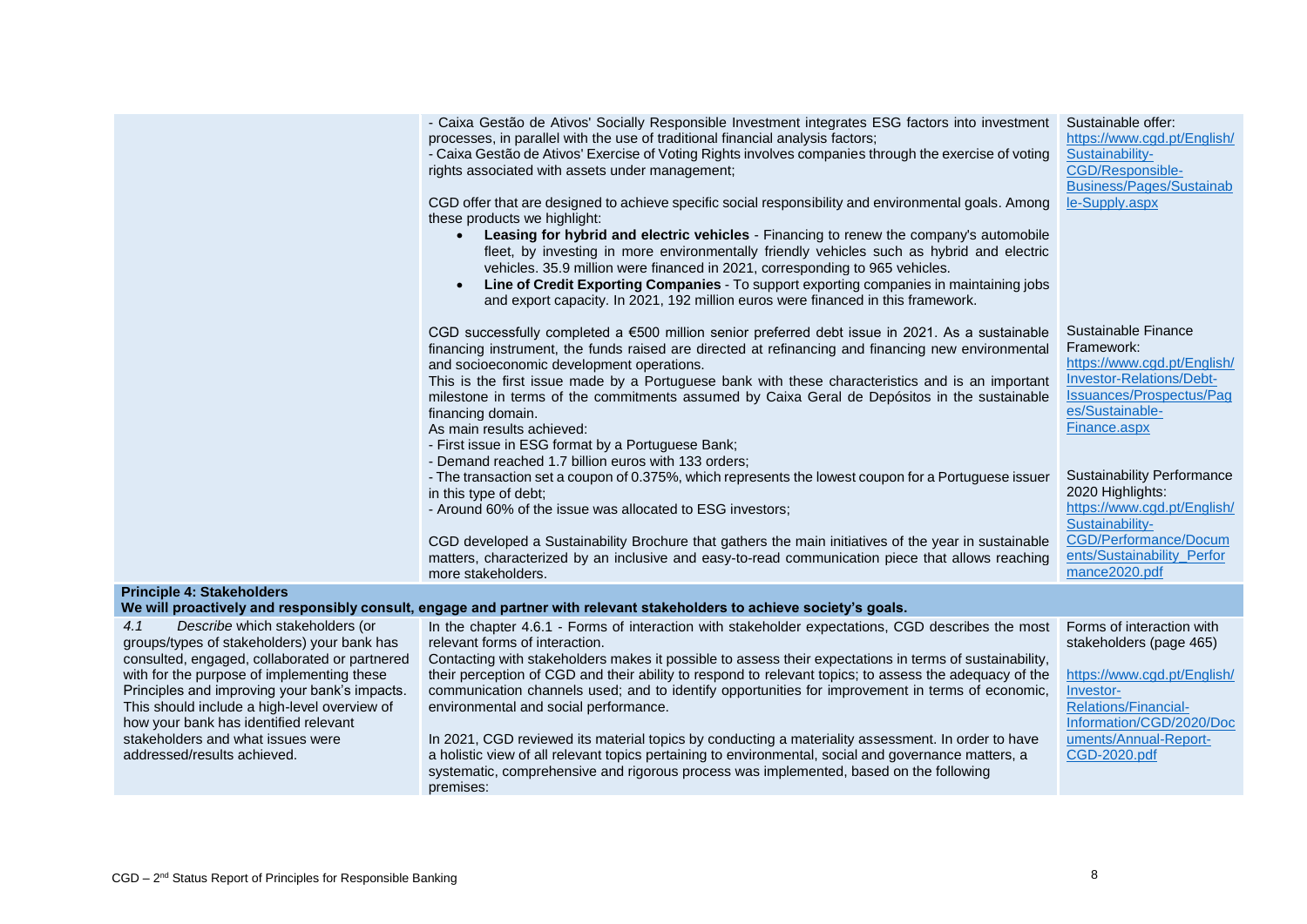|                                                                                                                                                                                      | - Caixa Gestão de Ativos' Socially Responsible Investment integrates ESG factors into investment<br>processes, in parallel with the use of traditional financial analysis factors;<br>- Caixa Gestão de Ativos' Exercise of Voting Rights involves companies through the exercise of voting<br>rights associated with assets under management;<br>CGD offer that are designed to achieve specific social responsibility and environmental goals. Among<br>these products we highlight:<br>Leasing for hybrid and electric vehicles - Financing to renew the company's automobile<br>fleet, by investing in more environmentally friendly vehicles such as hybrid and electric<br>vehicles. 35.9 million were financed in 2021, corresponding to 965 vehicles.<br>Line of Credit Exporting Companies - To support exporting companies in maintaining jobs<br>and export capacity. In 2021, 192 million euros were financed in this framework. | Sustainable offer:<br>https://www.cgd.pt/English/<br>Sustainability-<br>CGD/Responsible-<br><b>Business/Pages/Sustainab</b><br>le-Supply.aspx                                                                                                                                                   |
|--------------------------------------------------------------------------------------------------------------------------------------------------------------------------------------|----------------------------------------------------------------------------------------------------------------------------------------------------------------------------------------------------------------------------------------------------------------------------------------------------------------------------------------------------------------------------------------------------------------------------------------------------------------------------------------------------------------------------------------------------------------------------------------------------------------------------------------------------------------------------------------------------------------------------------------------------------------------------------------------------------------------------------------------------------------------------------------------------------------------------------------------|-------------------------------------------------------------------------------------------------------------------------------------------------------------------------------------------------------------------------------------------------------------------------------------------------|
|                                                                                                                                                                                      | CGD successfully completed a €500 million senior preferred debt issue in 2021. As a sustainable<br>financing instrument, the funds raised are directed at refinancing and financing new environmental<br>and socioeconomic development operations.<br>This is the first issue made by a Portuguese bank with these characteristics and is an important<br>milestone in terms of the commitments assumed by Caixa Geral de Depósitos in the sustainable<br>financing domain.<br>As main results achieved:<br>- First issue in ESG format by a Portuguese Bank;<br>- Demand reached 1.7 billion euros with 133 orders;<br>- The transaction set a coupon of 0.375%, which represents the lowest coupon for a Portuguese issuer<br>in this type of debt;<br>- Around 60% of the issue was allocated to ESG investors;<br>CGD developed a Sustainability Brochure that gathers the main initiatives of the year in sustainable                   | Sustainable Finance<br>Framework:<br>https://www.cad.pt/Enalish/<br>Investor-Relations/Debt-<br>Issuances/Prospectus/Pag<br>es/Sustainable-<br>Finance.aspx<br><b>Sustainability Performance</b><br>2020 Highlights:<br>https://www.cgd.pt/English/<br>Sustainability-<br>CGD/Performance/Docum |
|                                                                                                                                                                                      | matters, characterized by an inclusive and easy-to-read communication piece that allows reaching<br>more stakeholders.                                                                                                                                                                                                                                                                                                                                                                                                                                                                                                                                                                                                                                                                                                                                                                                                                       | ents/Sustainability_Perfor<br>mance2020.pdf                                                                                                                                                                                                                                                     |
| <b>Principle 4: Stakeholders</b>                                                                                                                                                     | We will proactively and responsibly consult, engage and partner with relevant stakeholders to achieve society's goals.                                                                                                                                                                                                                                                                                                                                                                                                                                                                                                                                                                                                                                                                                                                                                                                                                       |                                                                                                                                                                                                                                                                                                 |
| 4.1<br>Describe which stakeholders (or<br>groups/types of stakeholders) your bank has                                                                                                | In the chapter 4.6.1 - Forms of interaction with stakeholder expectations, CGD describes the most<br>relevant forms of interaction.                                                                                                                                                                                                                                                                                                                                                                                                                                                                                                                                                                                                                                                                                                                                                                                                          | Forms of interaction with                                                                                                                                                                                                                                                                       |
| consulted, engaged, collaborated or partnered                                                                                                                                        | Contacting with stakeholders makes it possible to assess their expectations in terms of sustainability,                                                                                                                                                                                                                                                                                                                                                                                                                                                                                                                                                                                                                                                                                                                                                                                                                                      | stakeholders (page 465)                                                                                                                                                                                                                                                                         |
| with for the purpose of implementing these<br>Principles and improving your bank's impacts.<br>This should include a high-level overview of<br>how your bank has identified relevant | their perception of CGD and their ability to respond to relevant topics; to assess the adequacy of the<br>communication channels used; and to identify opportunities for improvement in terms of economic,<br>environmental and social performance.                                                                                                                                                                                                                                                                                                                                                                                                                                                                                                                                                                                                                                                                                          | https://www.cgd.pt/English/<br>Investor-<br><b>Relations/Financial-</b><br>Information/CGD/2020/Doc                                                                                                                                                                                             |
| stakeholders and what issues were<br>addressed/results achieved.                                                                                                                     | In 2021, CGD reviewed its material topics by conducting a materiality assessment. In order to have<br>a holistic view of all relevant topics pertaining to environmental, social and governance matters, a<br>systematic, comprehensive and rigorous process was implemented, based on the following<br>premises:                                                                                                                                                                                                                                                                                                                                                                                                                                                                                                                                                                                                                            | uments/Annual-Report-<br>CGD-2020.pdf                                                                                                                                                                                                                                                           |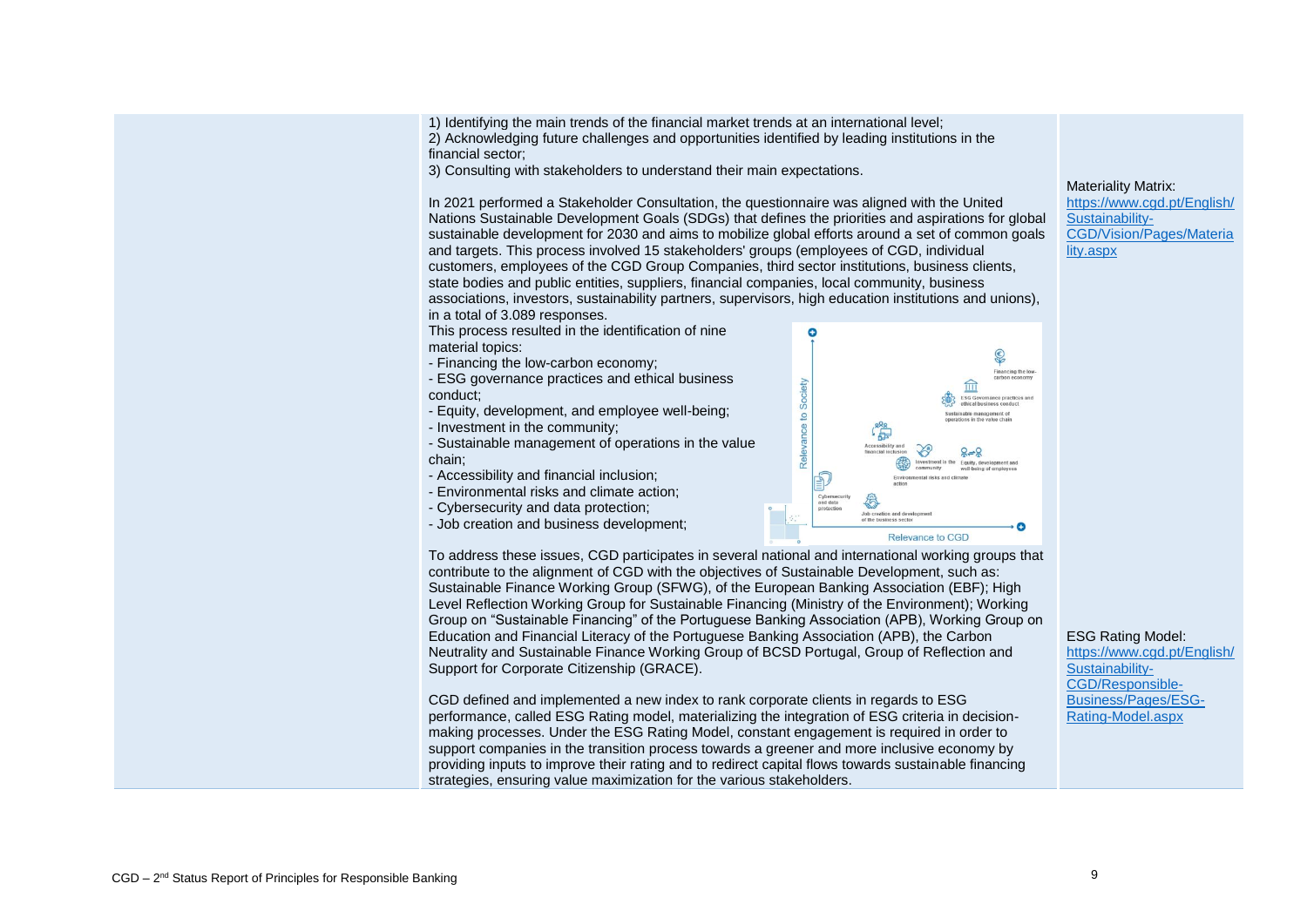financial sector;

3) Consulting with stakeholders to understand their main expectations.

In 2021 performed a Stakeholder Consultation, the questionnaire was aligned with the United Nations Sustainable Development Goals (SDGs) that defines the priorities and aspirations for global sustainable development for 2030 and aims to mobilize global efforts around a set of common goals and targets. This process involved 15 stakeholders' groups (employees of CGD, individual customers, employees of the CGD Group Companies, third sector institutions, business clients, state bodies and public entities, suppliers, financial companies, local community, business associations, investors, sustainability partners, supervisors, high education institutions and unions), in a total of 3.089 responses.

This process resulted in the identification of nine material topics:

- Financing the low-carbon economy;
- ESG governance practices and ethical business conduct;
- Equity, development, and employee well-being;
- Investment in the community;
- Sustainable management of operations in the value chain;
- Accessibility and financial inclusion;
- Environmental risks and climate action;
- Cybersecurity and data protection;
- Job creation and business development;



 $\bullet$ 

Society

Relevance to

Level Reflection Working Group for Sustainable Financing (Ministry of the Environment); Working Group on "Sustainable Financing" of the Portuguese Banking Association (APB), Working Group on Education and Financial Literacy of the Portuguese Banking Association (APB), the Carbon Neutrality and Sustainable Finance Working Group of BCSD Portugal, Group of Reflection and Support for Corporate Citizenship (GRACE).

CGD defined and implemented a new index to rank corporate clients in regards to ESG performance, called ESG Rating model, materializing the integration of ESG criteria in decisionmaking processes. Under the ESG Rating Model, constant engagement is required in order to support companies in the transition process towards a greener and more inclusive economy by providing inputs to improve their rating and to redirect capital flows towards sustainable financing strategies, ensuring value maximization for the various stakeholders.

#### Materiality Matrix:

\$ Einancing the low carbon

命  $ESG$  Go

[https://www.cgd.pt/English/](https://www.cgd.pt/English/Sustainability-CGD/Vision/Pages/Materiality.aspx) [Sustainability-](https://www.cgd.pt/English/Sustainability-CGD/Vision/Pages/Materiality.aspx)[CGD/Vision/Pages/Materia](https://www.cgd.pt/English/Sustainability-CGD/Vision/Pages/Materiality.aspx) [lity.aspx](https://www.cgd.pt/English/Sustainability-CGD/Vision/Pages/Materiality.aspx)

#### ESG Rating Model:

[https://www.cgd.pt/English/](https://www.cgd.pt/English/Sustainability-CGD/Responsible-Business/Pages/ESG-Rating-Model.aspx) [Sustainability-](https://www.cgd.pt/English/Sustainability-CGD/Responsible-Business/Pages/ESG-Rating-Model.aspx)[CGD/Responsible-](https://www.cgd.pt/English/Sustainability-CGD/Responsible-Business/Pages/ESG-Rating-Model.aspx)[Business/Pages/ESG-](https://www.cgd.pt/English/Sustainability-CGD/Responsible-Business/Pages/ESG-Rating-Model.aspx)[Rating-Model.aspx](https://www.cgd.pt/English/Sustainability-CGD/Responsible-Business/Pages/ESG-Rating-Model.aspx)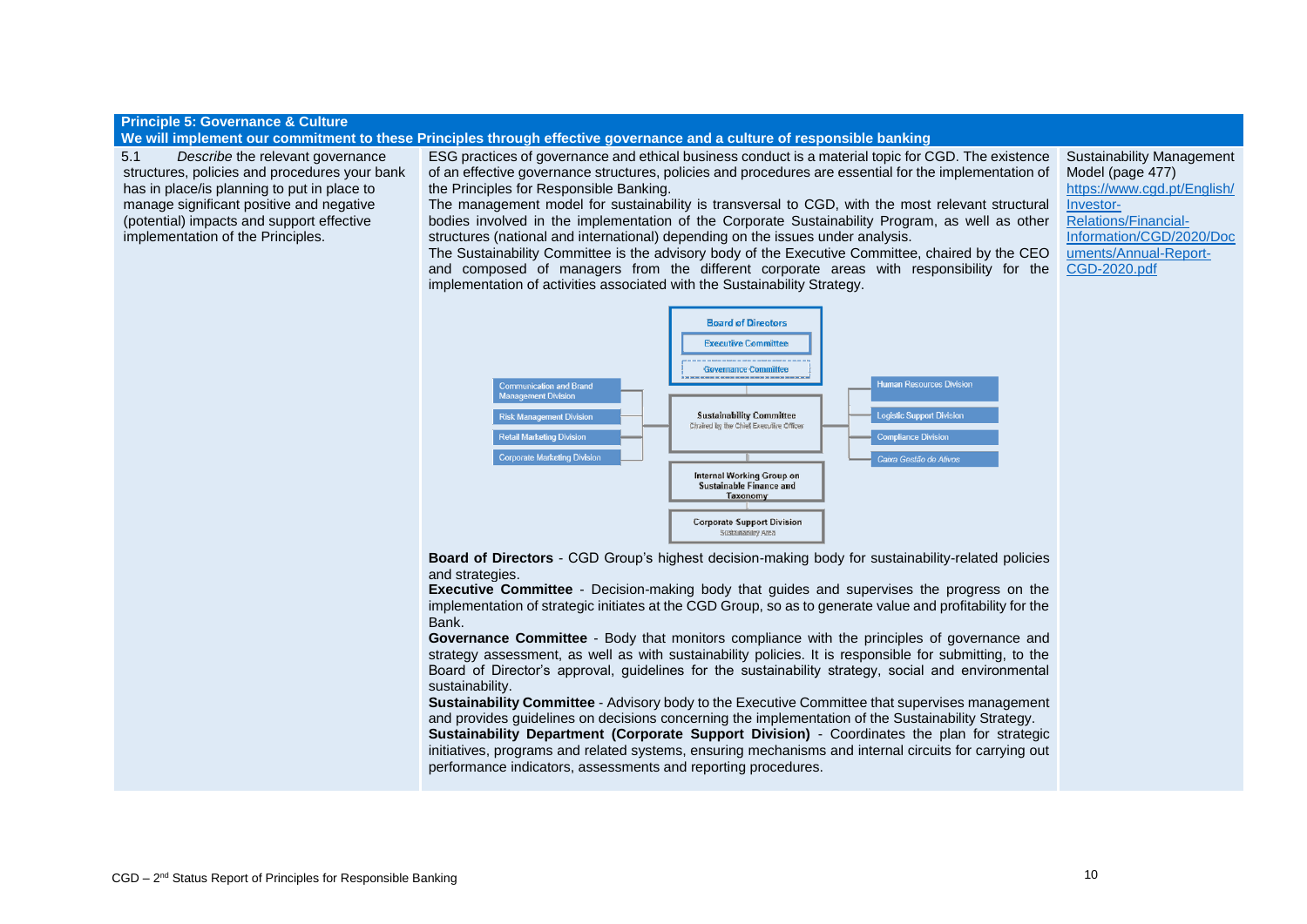## **Principle 5: Governance & Culture**

**We will implement our commitment to these Principles through effective governance and a culture of responsible banking**

5.1 *Describe* the relevant governance structures, policies and procedures your bank has in place/is planning to put in place to manage significant positive and negative (potential) impacts and support effective implementation of the Principles.

ESG practices of governance and ethical business conduct is a material topic for CGD. The existence of an effective governance structures, policies and procedures are essential for the implementation of the Principles for Responsible Banking.

The management model for sustainability is transversal to CGD, with the most relevant structural bodies involved in the implementation of the Corporate Sustainability Program, as well as other structures (national and international) depending on the issues under analysis.

Sustainability Management Model (page 477) [https://www.cgd.pt/English/](https://www.cgd.pt/English/Investor-Relations/Financial-Information/CGD/2020/Documents/Annual-Report-CGD-2020.pdf) [Investor-](https://www.cgd.pt/English/Investor-Relations/Financial-Information/CGD/2020/Documents/Annual-Report-CGD-2020.pdf)[Relations/Financial-](https://www.cgd.pt/English/Investor-Relations/Financial-Information/CGD/2020/Documents/Annual-Report-CGD-2020.pdf)[Information/CGD/2020/Doc](https://www.cgd.pt/English/Investor-Relations/Financial-Information/CGD/2020/Documents/Annual-Report-CGD-2020.pdf) [uments/Annual-Report-](https://www.cgd.pt/English/Investor-Relations/Financial-Information/CGD/2020/Documents/Annual-Report-CGD-2020.pdf)[CGD-2020.pdf](https://www.cgd.pt/English/Investor-Relations/Financial-Information/CGD/2020/Documents/Annual-Report-CGD-2020.pdf)

The Sustainability Committee is the advisory body of the Executive Committee, chaired by the CEO and composed of managers from the different corporate areas with responsibility for the implementation of activities associated with the Sustainability Strategy.



**Board of Directors** - CGD Group's highest decision-making body for sustainability-related policies and strategies.

**Executive Committee** - Decision-making body that guides and supervises the progress on the implementation of strategic initiates at the CGD Group, so as to generate value and profitability for the Bank.

**Governance Committee** - Body that monitors compliance with the principles of governance and strategy assessment, as well as with sustainability policies. It is responsible for submitting, to the Board of Director's approval, guidelines for the sustainability strategy, social and environmental sustainability.

**Sustainability Committee** - Advisory body to the Executive Committee that supervises management and provides guidelines on decisions concerning the implementation of the Sustainability Strategy.

**Sustainability Department (Corporate Support Division)** - Coordinates the plan for strategic initiatives, programs and related systems, ensuring mechanisms and internal circuits for carrying out performance indicators, assessments and reporting procedures.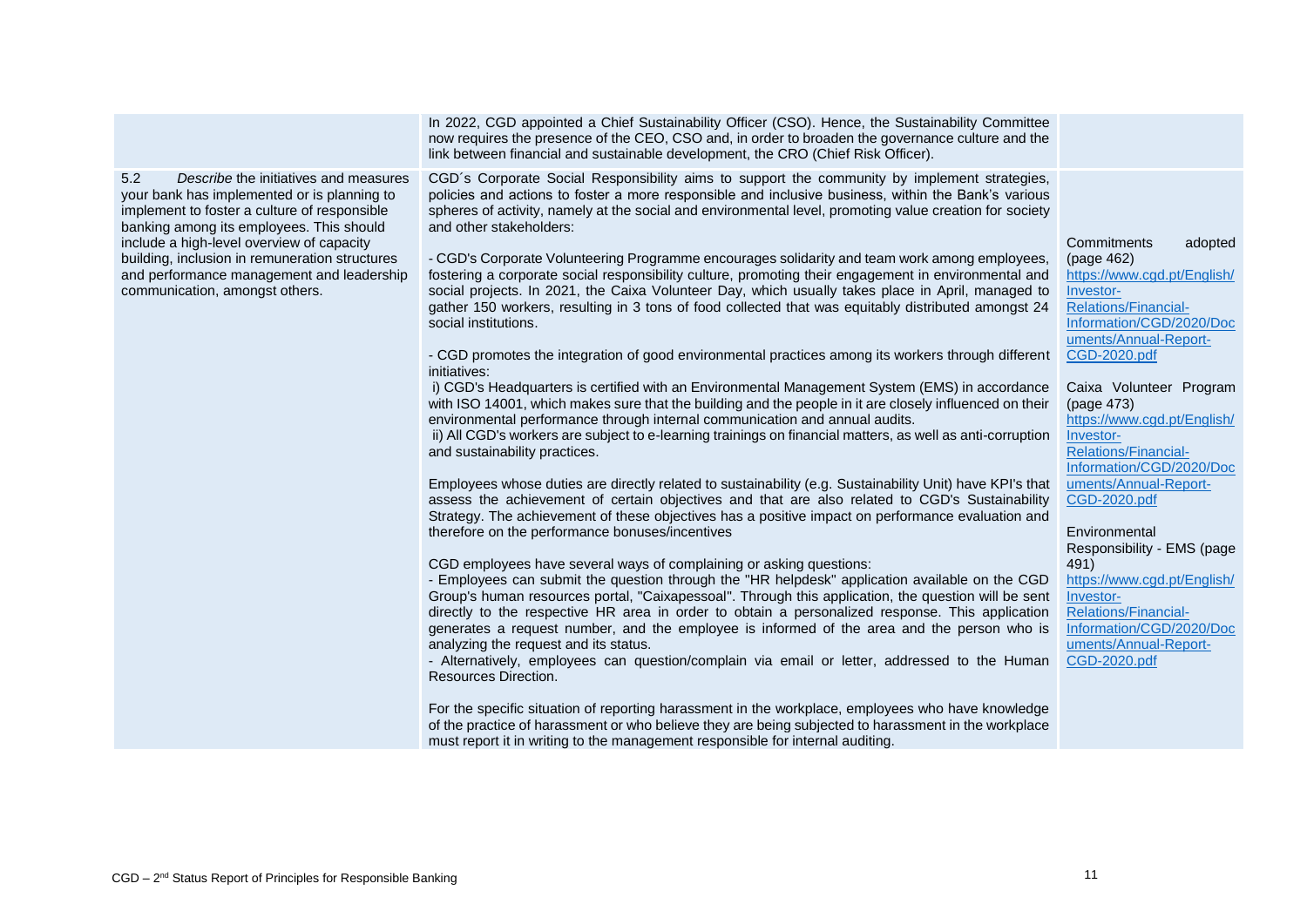|                                                                                                                                                                                                                                                                                                                                                                       | In 2022, CGD appointed a Chief Sustainability Officer (CSO). Hence, the Sustainability Committee<br>now requires the presence of the CEO, CSO and, in order to broaden the governance culture and the<br>link between financial and sustainable development, the CRO (Chief Risk Officer).                                                                                                                                                                                                                                                                                                                                                                                                                                                                                                                                                                                                                                                                                                                                                                                                                                                                                                                                                                                                                                                                                                                                                                                                                                                                                                                                                                                                                                                                                                                                                                                                                                                                                                                                                                                                                                                                                                                                                                                                                                                                                                                                                                                                                                                                                                                                                                                     |                                                                                                                                                                                                                                                                                                                                                                                                                                                                                                                                                                               |
|-----------------------------------------------------------------------------------------------------------------------------------------------------------------------------------------------------------------------------------------------------------------------------------------------------------------------------------------------------------------------|--------------------------------------------------------------------------------------------------------------------------------------------------------------------------------------------------------------------------------------------------------------------------------------------------------------------------------------------------------------------------------------------------------------------------------------------------------------------------------------------------------------------------------------------------------------------------------------------------------------------------------------------------------------------------------------------------------------------------------------------------------------------------------------------------------------------------------------------------------------------------------------------------------------------------------------------------------------------------------------------------------------------------------------------------------------------------------------------------------------------------------------------------------------------------------------------------------------------------------------------------------------------------------------------------------------------------------------------------------------------------------------------------------------------------------------------------------------------------------------------------------------------------------------------------------------------------------------------------------------------------------------------------------------------------------------------------------------------------------------------------------------------------------------------------------------------------------------------------------------------------------------------------------------------------------------------------------------------------------------------------------------------------------------------------------------------------------------------------------------------------------------------------------------------------------------------------------------------------------------------------------------------------------------------------------------------------------------------------------------------------------------------------------------------------------------------------------------------------------------------------------------------------------------------------------------------------------------------------------------------------------------------------------------------------------|-------------------------------------------------------------------------------------------------------------------------------------------------------------------------------------------------------------------------------------------------------------------------------------------------------------------------------------------------------------------------------------------------------------------------------------------------------------------------------------------------------------------------------------------------------------------------------|
| 5.2<br>Describe the initiatives and measures<br>your bank has implemented or is planning to<br>implement to foster a culture of responsible<br>banking among its employees. This should<br>include a high-level overview of capacity<br>building, inclusion in remuneration structures<br>and performance management and leadership<br>communication, amongst others. | CGD's Corporate Social Responsibility aims to support the community by implement strategies,<br>policies and actions to foster a more responsible and inclusive business, within the Bank's various<br>spheres of activity, namely at the social and environmental level, promoting value creation for society<br>and other stakeholders:<br>- CGD's Corporate Volunteering Programme encourages solidarity and team work among employees,<br>fostering a corporate social responsibility culture, promoting their engagement in environmental and<br>social projects. In 2021, the Caixa Volunteer Day, which usually takes place in April, managed to<br>gather 150 workers, resulting in 3 tons of food collected that was equitably distributed amongst 24<br>social institutions.<br>- CGD promotes the integration of good environmental practices among its workers through different<br>initiatives:<br>i) CGD's Headquarters is certified with an Environmental Management System (EMS) in accordance<br>with ISO 14001, which makes sure that the building and the people in it are closely influenced on their<br>environmental performance through internal communication and annual audits.<br>ii) All CGD's workers are subject to e-learning trainings on financial matters, as well as anti-corruption<br>and sustainability practices.<br>Employees whose duties are directly related to sustainability (e.g. Sustainability Unit) have KPI's that<br>assess the achievement of certain objectives and that are also related to CGD's Sustainability<br>Strategy. The achievement of these objectives has a positive impact on performance evaluation and<br>therefore on the performance bonuses/incentives<br>CGD employees have several ways of complaining or asking questions:<br>- Employees can submit the question through the "HR helpdesk" application available on the CGD<br>Group's human resources portal, "Caixapessoal". Through this application, the question will be sent<br>directly to the respective HR area in order to obtain a personalized response. This application<br>generates a request number, and the employee is informed of the area and the person who is<br>analyzing the request and its status.<br>- Alternatively, employees can question/complain via email or letter, addressed to the Human<br>Resources Direction.<br>For the specific situation of reporting harassment in the workplace, employees who have knowledge<br>of the practice of harassment or who believe they are being subjected to harassment in the workplace<br>must report it in writing to the management responsible for internal auditing. | Commitments<br>adopted<br>(page 462)<br>https://www.cgd.pt/English/<br>Investor-<br><b>Relations/Financial-</b><br>Information/CGD/2020/Doc<br>uments/Annual-Report-<br>CGD-2020.pdf<br>Caixa Volunteer Program<br>(page 473)<br>https://www.cqd.pt/English/<br>Investor-<br>Relations/Financial-<br>Information/CGD/2020/Doc<br>uments/Annual-Report-<br>CGD-2020.pdf<br>Environmental<br>Responsibility - EMS (page<br>491)<br>https://www.cqd.pt/English/<br>Investor-<br><b>Relations/Financial-</b><br>Information/CGD/2020/Doc<br>uments/Annual-Report-<br>CGD-2020.pdf |